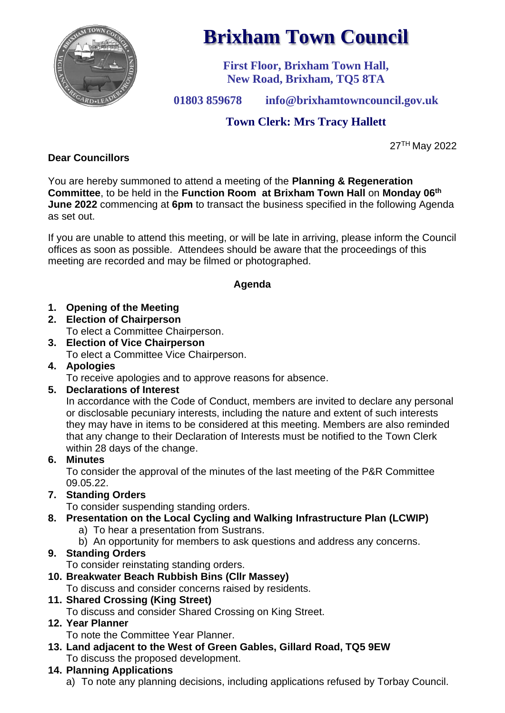

# **Brixham Town Council**

**First Floor, Brixham Town Hall, New Road, Brixham, TQ5 8TA**

**01803 859678 info@brixhamtowncouncil.gov.uk**

# **Town Clerk: Mrs Tracy Hallett**

27TH May 2022

# **Dear Councillors**

You are hereby summoned to attend a meeting of the **Planning & Regeneration Committee**, to be held in the **Function Room at Brixham Town Hall** on **Monday 06 th June 2022** commencing at **6pm** to transact the business specified in the following Agenda as set out.

If you are unable to attend this meeting, or will be late in arriving, please inform the Council offices as soon as possible. Attendees should be aware that the proceedings of this meeting are recorded and may be filmed or photographed.

# **Agenda**

- **1. Opening of the Meeting**
- **2. Election of Chairperson**

To elect a Committee Chairperson.

- **3. Election of Vice Chairperson** To elect a Committee Vice Chairperson.
- **4. Apologies**

To receive apologies and to approve reasons for absence.

**5. Declarations of Interest**

In accordance with the Code of Conduct, members are invited to declare any personal or disclosable pecuniary interests, including the nature and extent of such interests they may have in items to be considered at this meeting. Members are also reminded that any change to their Declaration of Interests must be notified to the Town Clerk within 28 days of the change.

**6. Minutes**

To consider the approval of the minutes of the last meeting of the P&R Committee 09.05.22.

**7. Standing Orders**

To consider suspending standing orders.

- **8. Presentation on the Local Cycling and Walking Infrastructure Plan (LCWIP)**
	- a) To hear a presentation from Sustrans.
	- b) An opportunity for members to ask questions and address any concerns.

# **9. Standing Orders**

To consider reinstating standing orders.

**10. Breakwater Beach Rubbish Bins (Cllr Massey)**

To discuss and consider concerns raised by residents.

**11. Shared Crossing (King Street)**

To discuss and consider Shared Crossing on King Street.

**12. Year Planner**

To note the Committee Year Planner.

- **13. Land adjacent to the West of Green Gables, Gillard Road, TQ5 9EW** To discuss the proposed development.
- **14. Planning Applications**

a) To note any planning decisions, including applications refused by Torbay Council.